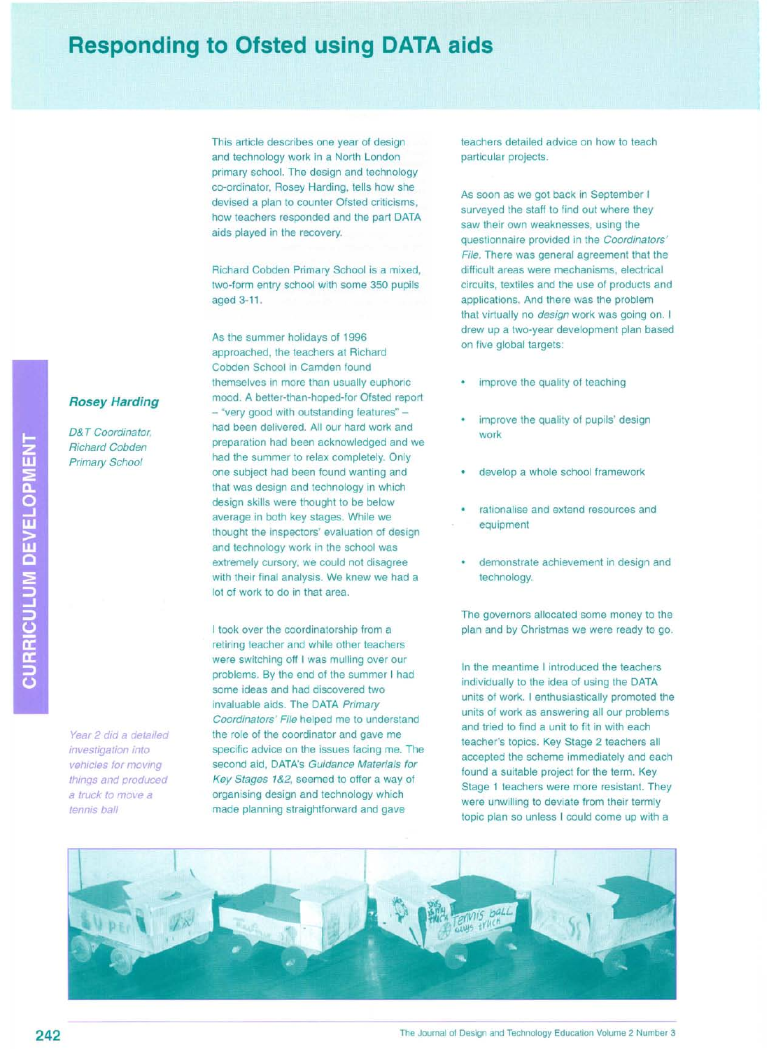## **Responding to Ofsted using DATA aids**

This article describes one year of design and technology work in a North London primary school. The design and technology co-ordinator, Rosey Harding, tells how she devised a plan to counter Ofsted criticisms, how teachers responded and the part DATA aids played in the *recovery.*

Richard Cobden Primary School is a mixed, two-form entry school with some 350 pupils aged 3-11.

As the summer holidays of 1996 approached, the teachers at Richard Cobden School in Camden found themselves in more than usually euphoric mood. A better-than-hoped-for Ofsted report *- "very* good with outstanding features" had been delivered. All our hard work and preparation had been acknowledged and we had the summer to relax completely. Only one subject had been found wanting and that was design and technology in which design skills were thought to be below *average* in both key stages. While we thought the inspectors' evaluation of design and technology work in the school was extremely cursory, we could not disagree with their final analysis. We knew we had a lot of work to do in that area.

I took *over* the coordinatorship from a retiring teacher and while other teachers were switching off I was mulling over our problems. By the end of the summer I had some ideas and had discovered two invaluable aids. The DATA *Primary Coordinators' File* helped me to understand the role of the coordinator and *gave* me specific *advice* on the issues facing me. The second aid, DATA's *Guidance Materials for Key Stages* 1&2, seemed to offer a way of organising design and technology which made planning straightforward and *gave*

teachers detailed *advice* on how to teach particular projects.

As soon as we got back in September I surveyed the staff to find out where they saw their own weaknesses, using the questionnaire provided in the *Coordinators' File.* There was general agreement that the difficult areas were mechanisms, electrical circuits, textiles and the use of products and applications. And there was the problem that virtually no *design* work was going on. I drew up a two-year development plan based on *five* global targets:

- improve the quality of teaching
- improve the quality of pupils' design work
- develop a whole school framework
- rationalise and extend resources and equipment
- demonstrate achievement in design and technology.

The *governors* allocated some money to the plan and by Christmas we were ready to go.

In the meantime I introduced the teachers individually to the idea of using the DATA units of work. I enthusiastically promoted the units of work as answering all our problems and tried to find a unit to fit in with each teacher's topics. Key Stage 2 teachers all accepted the scheme immediately and each found a suitable project for the term. Key Stage 1 teachers were more resistant. They were unwilling to deviate from their termly topic plan so unless I could come up with a



**Rosey Harding** 

*0& T Coordinator, Richard Cobden Primary School*

CURRICULUM DEVELOPMENT

*Year* 2 *did* a *detailed investigation into vehicles for moving things and produced* a *truck to move* a *tennis ball*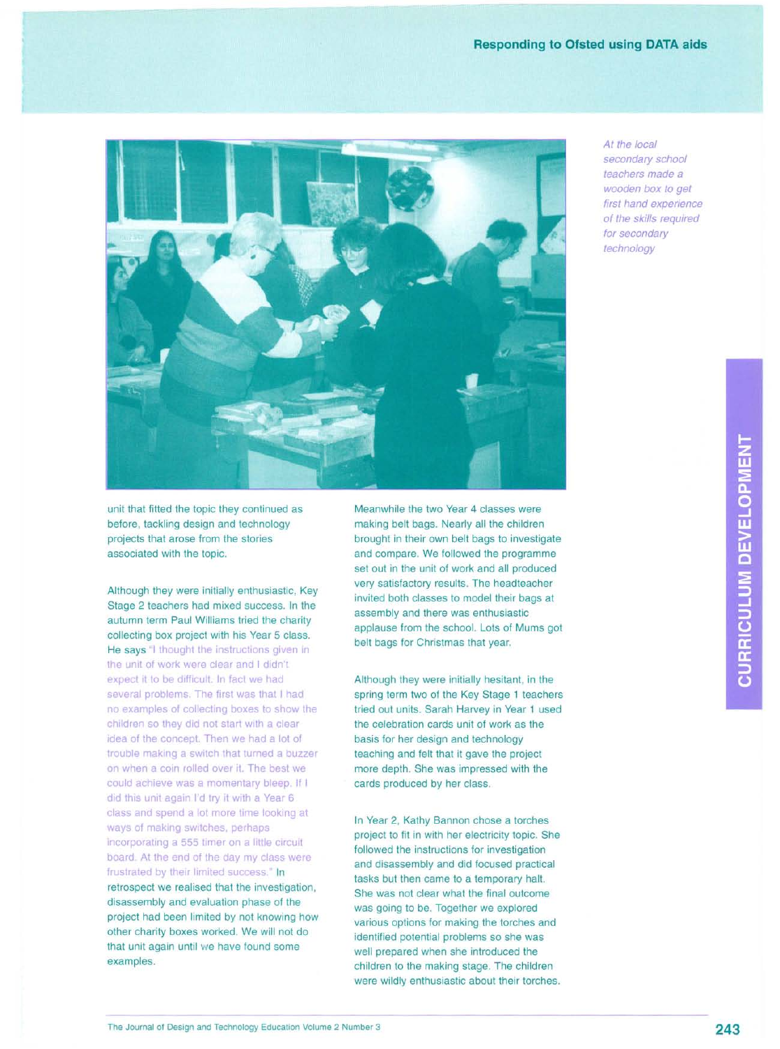

*At the local secondary school teachers made* a *wooden box to get first hand experience of the skills required for secondary technology*

unit that fitted the topic they continued as before, tackling design and technology projects that arose from the stories associated with the topic.

Although they were initially enthusiastic, Key Stage 2 teachers had mixed success. In the autumn term Paul Williams tried the charity collecting box project with his Year 5 class. He says "I thought the instructions given in the unit of work were clear and I didn't expect it to be difficult. In fact we had several problems. The first was that I had no examples of collecting boxes to show the children so they did not start with a clear idea of the concept. Then we had a lot of trouble making a switch that turned a buzzer on when a coin rolled over it. The best we could achieve was a momentary bleep. If I did this unit again I'd try it with a Year 6 class and spend a lot more time looking at ways of making switches, perhaps incorporating a 555 timer on a little circuit board. At the end of the day my class were frustrated by their limited success." In retrospect we realised that the investigation, disassembly and evaluation phase of the project had been limited by not knowing how other charity boxes worked. We will not do that unit again until we have found some examples.

Meanwhile the two Year 4 classes were making belt bags. Nearly all the children brought in their own belt bags to investigate and compare. We followed the programme set out in the unit of work and all produced very satisfactory results. The headteacher invited both classes to model their bags at assembly and there was enthusiastic applause from the school. Lots of Mums got belt bags for Christmas that year.

Although they were initially hesitant, in the spring term two of the Key Stage 1 teachers tried out units. Sarah Harvey in Year 1 used the celebration cards unit of work as the basis for her design and technology teaching and felt that it gave the project more depth. She was impressed with the cards produced by her class.

In Year 2, Kathy Bannon chose a torches project to fit in with her electricity topic. She followed the instructions for investigation and disassembly and did focused practical tasks but then came to a temporary halt. She was not clear what the final outcome was going to be. Together we explored various options for making the torches and identified potential problems so she was well prepared when she introduced the children to the making stage. The children were wildly enthusiastic about their torches.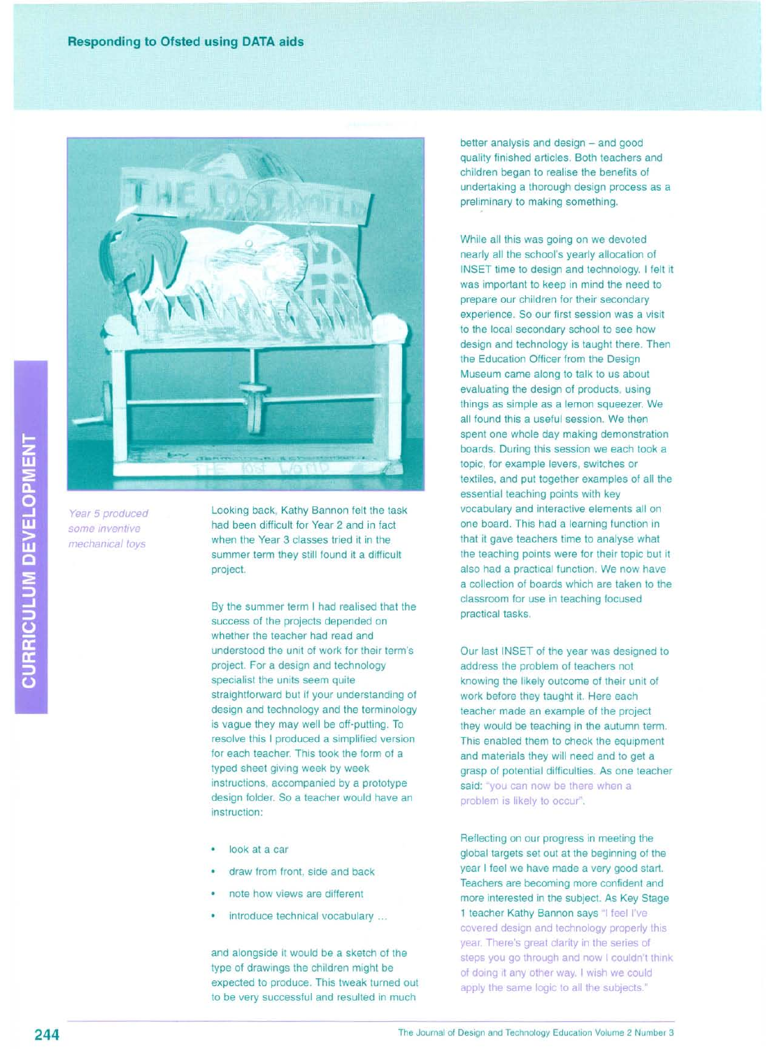

*Year* 5 *produced some inventive mechanical toys*

Looking back, Kathy Bannon felt the task had been difficult for Year 2 and in fact when the Year 3 classes tried it in the summer term they still found it a difficult project.

By the summer term I had realised that the success of the projects depended on whether the teacher had read and understood the unit of work for their term's project. For a design and technology specialist the units seem quite straightforward but if your understanding of design and technology and the terminology is vague they may well be off-putting. To resolve this I produced a simplified version for each teacher. This took the form of a typed sheet giving week by week instructions, accompanied by a prototype design folder. So a teacher would have an instruction:

- look at a car
- draw from front, side and back
- note how views are different
- introduce technical vocabulary ...

and alongside it would be a sketch of the type of drawings the children might be expected to produce. This tweak turned out to be very successful and resulted in much

better analysis and design - and good quality finished articles. Both teachers and children began to realise the benefits of undertaking a thorough design process as a preliminary to making something.

While all this was going on we devoted nearly all the school's yearly allocation of INSET time to design and technology. I felt it was important to keep in mind the need to prepare our children for their secondary experience. So our first session was a visit to the local secondary school to see how design and technology is taught there. Then the Education Officer from the Design Museum came along to talk to us about evaluating the design of products, using things as simple as a lemon squeezer. We all found this a useful session. We then spent one whole day making demonstration boards. During this session we each took a topic, for example levers, switches or textiles, and put together examples of all the essential teaching points with key vocabulary and interactive elements all on one board. This had a learning function in that it gave teachers time to analyse what the teaching points were for their topic but it also had a practical function. We now have a collection of boards which are taken to the classroom for use in teaching focused practical tasks.

Our last INSET of the year was designed to address the problem of teachers not knowing the likely outcome of their unit of work before they taught it. Here each teacher made an example of the project they would be teaching in the autumn term. This enabled them to check the equipment and materials they will need and to get a grasp of potential difficulties. As one teacher said: "you can now be there when a problem is likely to occur".

Reflecting on our progress in meeting the global targets set out at the beginning of the year I feel we have made a very good start. Teachers are becoming more confident and more interested in the subject. As Key Stage 1 teacher Kathy Bannon says "I feel I've covered design and technology properly this year. There's great clarity in the series of steps you go through and now I couldn't think of doing it any other way. I Wish we could apply the same logic to all the subjects."